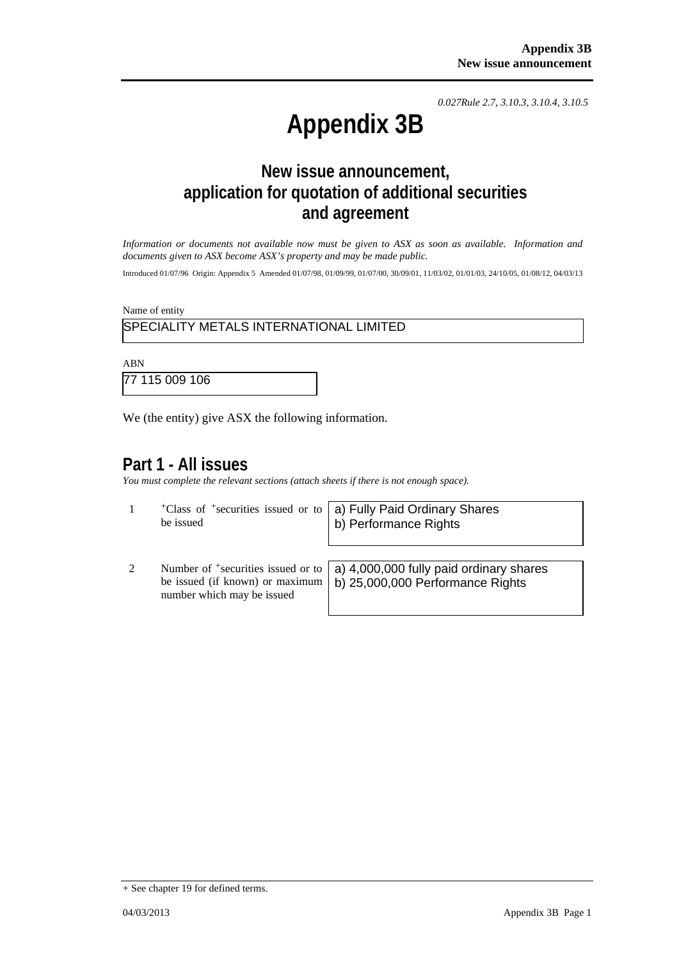*0.027Rule 2.7, 3.10.3, 3.10.4, 3.10.5*

# **Appendix 3B**

# **New issue announcement, application for quotation of additional securities and agreement**

*Information or documents not available now must be given to ASX as soon as available. Information and documents given to ASX become ASX's property and may be made public.* 

Introduced 01/07/96 Origin: Appendix 5 Amended 01/07/98, 01/09/99, 01/07/00, 30/09/01, 11/03/02, 01/01/03, 24/10/05, 01/08/12, 04/03/13

Name of entity

### SPECIALITY METALS INTERNATIONAL LIMITED

ABN 77 115 009 106

We (the entity) give ASX the following information.

number which may be issued

## **Part 1 - All issues**

*You must complete the relevant sections (attach sheets if there is not enough space).*

|   | $+$ Class of $+$ securities issued or to <b>a</b> ) Fully Paid Ordinary Shares be issued <b>b</b> ) Performance Rights                                      |
|---|-------------------------------------------------------------------------------------------------------------------------------------------------------------|
| 2 | Number of $\frac{1}{2}$ securities issued or to a) 4,000,000 fully paid ordinary shares<br>be issued (if known) or maximum b) 25,000,000 Performance Rights |

+ See chapter 19 for defined terms.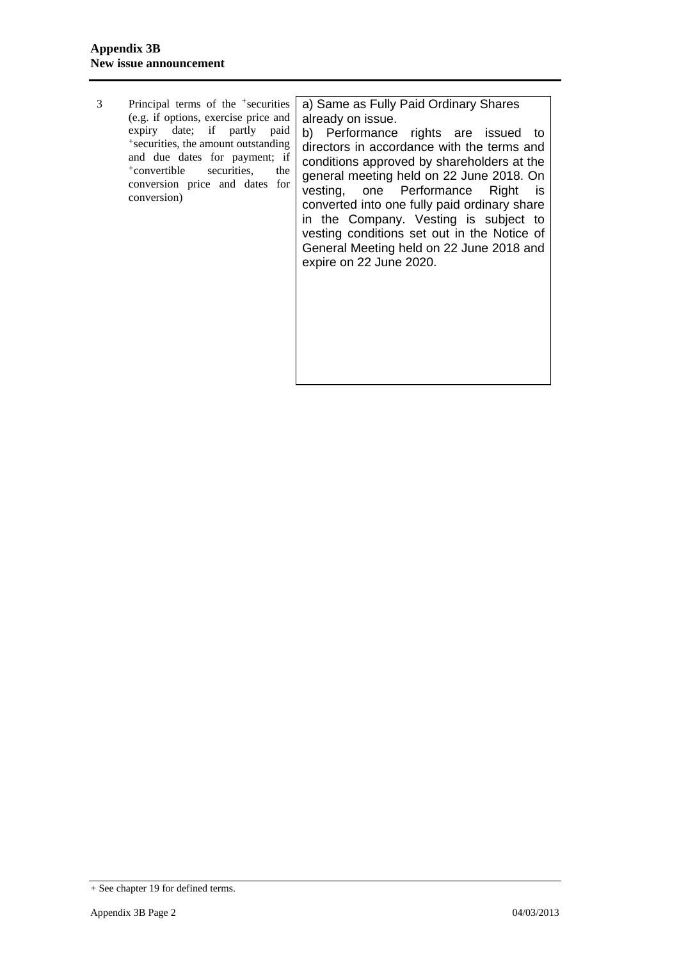3 Principal terms of the +securities (e.g. if options, exercise price and expiry date; if partly paid +securities, the amount outstanding and due dates for payment; if +convertible securities, the conversion price and dates for conversion)

a) Same as Fully Paid Ordinary Shares already on issue.

b) Performance rights are issued to directors in accordance with the terms and conditions approved by shareholders at the general meeting held on 22 June 2018. On vesting, one Performance Right is converted into one fully paid ordinary share in the Company. Vesting is subject to vesting conditions set out in the Notice of General Meeting held on 22 June 2018 and expire on 22 June 2020.

<sup>+</sup> See chapter 19 for defined terms.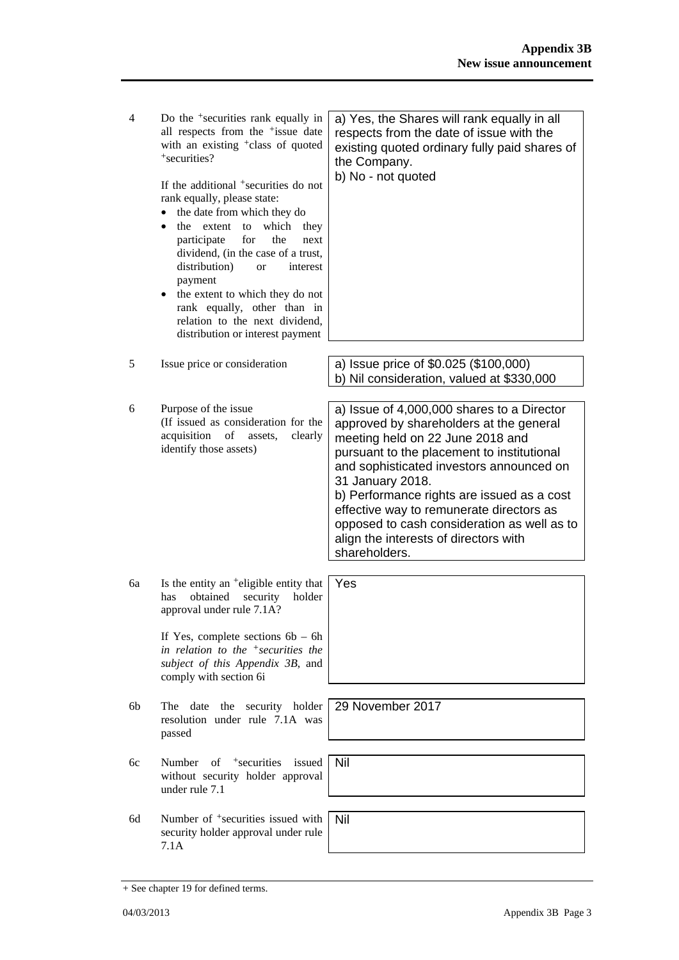| 4  | Do the <sup>+</sup> securities rank equally in<br>all respects from the <sup>+</sup> issue date<br>with an existing <sup>+</sup> class of quoted<br>+securities?<br>If the additional <sup>+</sup> securities do not<br>rank equally, please state:<br>the date from which they do<br>which they<br>the<br>extent<br>to<br>$\bullet$<br>participate<br>for<br>the<br>next<br>dividend, (in the case of a trust,<br>distribution)<br>interest<br><b>or</b><br>payment<br>the extent to which they do not<br>$\bullet$<br>rank equally, other than in<br>relation to the next dividend,<br>distribution or interest payment | a) Yes, the Shares will rank equally in all<br>respects from the date of issue with the<br>existing quoted ordinary fully paid shares of<br>the Company.<br>b) No - not quoted                                                                                                                                                                                                                                                             |
|----|---------------------------------------------------------------------------------------------------------------------------------------------------------------------------------------------------------------------------------------------------------------------------------------------------------------------------------------------------------------------------------------------------------------------------------------------------------------------------------------------------------------------------------------------------------------------------------------------------------------------------|--------------------------------------------------------------------------------------------------------------------------------------------------------------------------------------------------------------------------------------------------------------------------------------------------------------------------------------------------------------------------------------------------------------------------------------------|
| 5  | Issue price or consideration                                                                                                                                                                                                                                                                                                                                                                                                                                                                                                                                                                                              | a) Issue price of \$0.025 (\$100,000)<br>b) Nil consideration, valued at \$330,000                                                                                                                                                                                                                                                                                                                                                         |
| 6  | Purpose of the issue<br>(If issued as consideration for the<br>acquisition<br>of<br>clearly<br>assets,<br>identify those assets)                                                                                                                                                                                                                                                                                                                                                                                                                                                                                          | a) Issue of 4,000,000 shares to a Director<br>approved by shareholders at the general<br>meeting held on 22 June 2018 and<br>pursuant to the placement to institutional<br>and sophisticated investors announced on<br>31 January 2018.<br>b) Performance rights are issued as a cost<br>effective way to remunerate directors as<br>opposed to cash consideration as well as to<br>align the interests of directors with<br>shareholders. |
| 6a | Is the entity an <sup>+</sup> eligible entity that<br>obtained<br>security<br>holder<br>has<br>approval under rule 7.1A?<br>If Yes, complete sections $6b - 6h$<br>in relation to the $+$ securities the<br>subject of this Appendix 3B, and                                                                                                                                                                                                                                                                                                                                                                              | Yes                                                                                                                                                                                                                                                                                                                                                                                                                                        |
|    | comply with section 6i                                                                                                                                                                                                                                                                                                                                                                                                                                                                                                                                                                                                    |                                                                                                                                                                                                                                                                                                                                                                                                                                            |
| 6b | date<br>the security holder<br>The <sub>1</sub><br>resolution under rule 7.1A was<br>passed                                                                                                                                                                                                                                                                                                                                                                                                                                                                                                                               | 29 November 2017                                                                                                                                                                                                                                                                                                                                                                                                                           |
| 6c | Number of $+$ securities<br>issued<br>without security holder approval<br>under rule 7.1                                                                                                                                                                                                                                                                                                                                                                                                                                                                                                                                  | Nil                                                                                                                                                                                                                                                                                                                                                                                                                                        |
| 6d | Number of <sup>+</sup> securities issued with<br>security holder approval under rule<br>7.1A                                                                                                                                                                                                                                                                                                                                                                                                                                                                                                                              | Nil                                                                                                                                                                                                                                                                                                                                                                                                                                        |

<sup>+</sup> See chapter 19 for defined terms.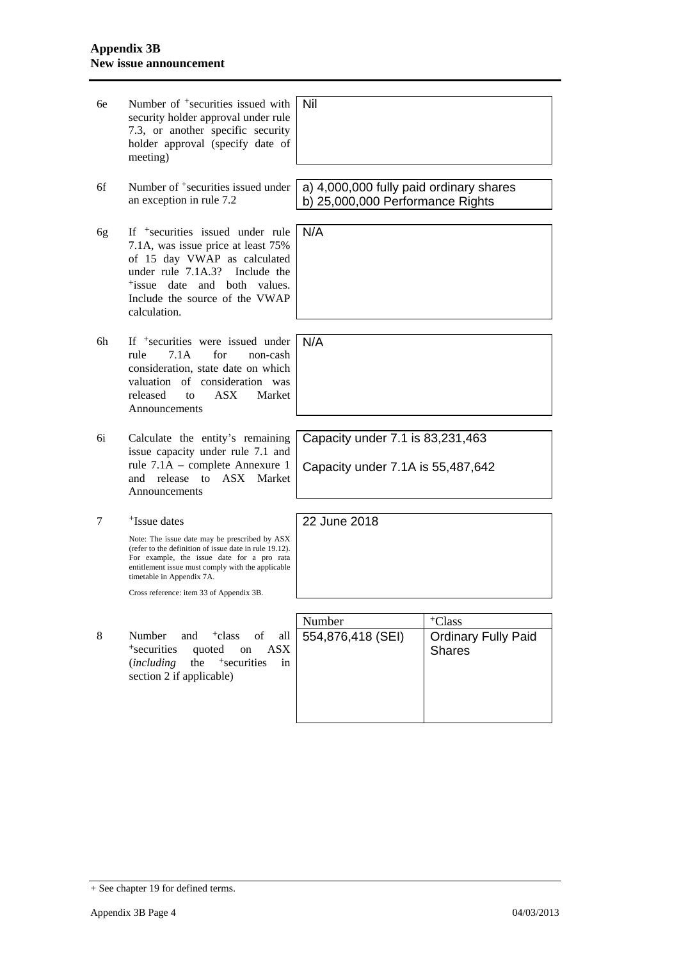| бe | Number of <sup>+</sup> securities issued with<br>security holder approval under rule<br>7.3, or another specific security<br>holder approval (specify date of<br>meeting)                                                                                                           | Nil                                                                         |                                                                   |
|----|-------------------------------------------------------------------------------------------------------------------------------------------------------------------------------------------------------------------------------------------------------------------------------------|-----------------------------------------------------------------------------|-------------------------------------------------------------------|
| 6f | Number of <sup>+</sup> securities issued under<br>an exception in rule 7.2                                                                                                                                                                                                          | a) 4,000,000 fully paid ordinary shares<br>b) 25,000,000 Performance Rights |                                                                   |
| 6g | If <sup>+</sup> securities issued under rule<br>7.1A, was issue price at least 75%<br>of 15 day VWAP as calculated<br>under rule 7.1A.3?<br>Include the<br><sup>+</sup> issue date and both values.<br>Include the source of the VWAP<br>calculation.                               | N/A                                                                         |                                                                   |
| 6h | If $\pm$ securities were issued under<br>rule<br>7.1A<br>for<br>non-cash<br>consideration, state date on which<br>valuation of consideration was<br>released<br>ASX.<br>Market<br>to<br>Announcements                                                                               | N/A                                                                         |                                                                   |
| 6i | Calculate the entity's remaining<br>issue capacity under rule 7.1 and<br>rule 7.1A – complete Annexure 1<br>and release to ASX Market<br>Announcements                                                                                                                              | Capacity under 7.1 is 83,231,463<br>Capacity under 7.1A is 55,487,642       |                                                                   |
| 7  | <sup>+</sup> Issue dates                                                                                                                                                                                                                                                            | 22 June 2018                                                                |                                                                   |
|    | Note: The issue date may be prescribed by ASX<br>(refer to the definition of issue date in rule 19.12).<br>For example, the issue date for a pro rata<br>entitlement issue must comply with the applicable<br>timetable in Appendix 7A.<br>Cross reference: item 33 of Appendix 3B. |                                                                             |                                                                   |
|    |                                                                                                                                                                                                                                                                                     |                                                                             |                                                                   |
| 8  | Number<br>and <sup>+</sup> class of<br>all<br>quoted on<br><sup>+</sup> securities<br>$\overline{ASX}$<br>the<br>+securities<br><i>(including</i><br>in<br>section 2 if applicable)                                                                                                 | Number<br>554,876,418 (SEI)                                                 | <sup>+</sup> Class<br><b>Ordinary Fully Paid</b><br><b>Shares</b> |
|    |                                                                                                                                                                                                                                                                                     |                                                                             |                                                                   |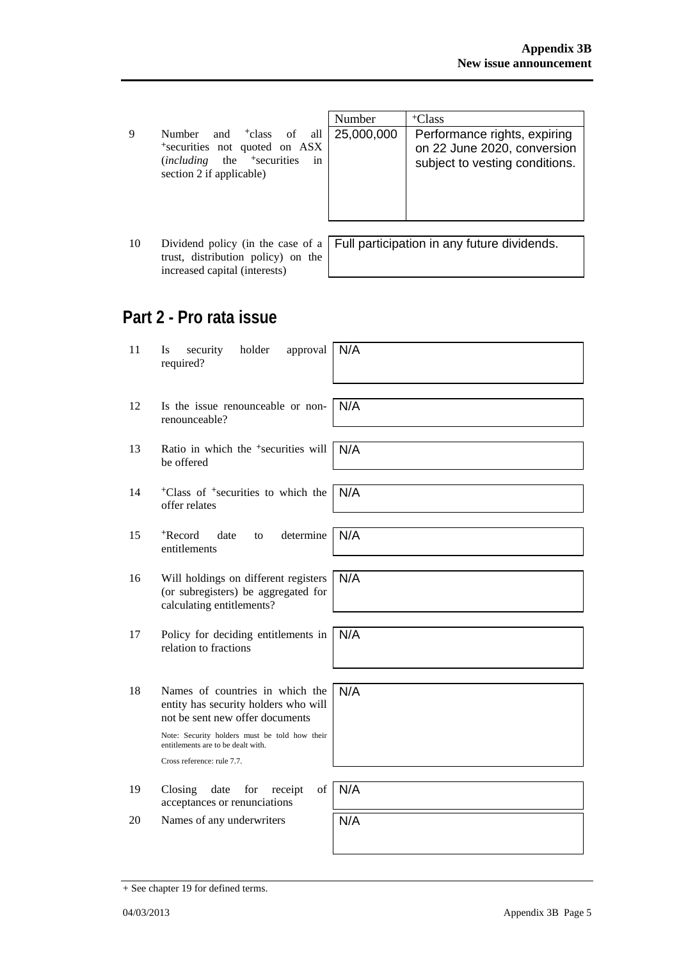|                                                       | Number | <sup>+</sup> Class |
|-------------------------------------------------------|--------|--------------------|
| Number and <sup>+</sup> class of all 25,000,000 Perfo |        |                    |
| *securities not quoted on ASX                         |        | on 22              |
| $(including$ the <sup>+</sup> securities in           |        | subje              |
| section 2 if applicable)                              |        |                    |
|                                                       |        |                    |

| Number     | <sup>+</sup> Class                                                                            |
|------------|-----------------------------------------------------------------------------------------------|
| 25,000,000 | Performance rights, expiring<br>on 22 June 2020, conversion<br>subject to vesting conditions. |

| 10 |                                    | Dividend policy (in the case of a $\vert$ Full participation in any future dividends. |
|----|------------------------------------|---------------------------------------------------------------------------------------|
|    | trust, distribution policy) on the |                                                                                       |
|    | increased capital (interests)      |                                                                                       |

## **Part 2 - Pro rata issue**

| 11 | Is<br>security<br>holder<br>approval<br>required?                                                                                                                                                                               | N/A |
|----|---------------------------------------------------------------------------------------------------------------------------------------------------------------------------------------------------------------------------------|-----|
| 12 | Is the issue renounceable or non-<br>renounceable?                                                                                                                                                                              | N/A |
| 13 | Ratio in which the <sup>+</sup> securities will<br>be offered                                                                                                                                                                   | N/A |
| 14 | <sup>+</sup> Class of <sup>+</sup> securities to which the<br>offer relates                                                                                                                                                     | N/A |
| 15 | <sup>+</sup> Record<br>determine<br>date<br>to<br>entitlements                                                                                                                                                                  | N/A |
| 16 | Will holdings on different registers<br>(or subregisters) be aggregated for<br>calculating entitlements?                                                                                                                        | N/A |
| 17 | Policy for deciding entitlements in<br>relation to fractions                                                                                                                                                                    | N/A |
| 18 | Names of countries in which the<br>entity has security holders who will<br>not be sent new offer documents<br>Note: Security holders must be told how their<br>entitlements are to be dealt with.<br>Cross reference: rule 7.7. | N/A |
| 19 | Closing<br>of<br>date<br>for<br>receipt<br>acceptances or renunciations                                                                                                                                                         | N/A |
| 20 | Names of any underwriters                                                                                                                                                                                                       | N/A |

<sup>+</sup> See chapter 19 for defined terms.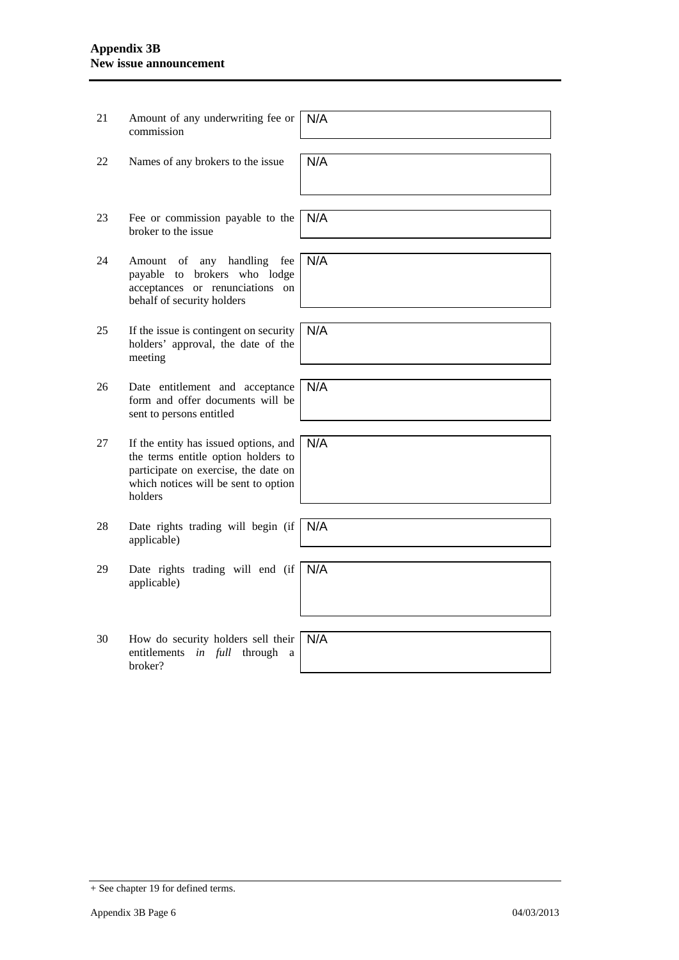#### **Appendix 3B New issue announcement**

| 21 | Amount of any underwriting fee or<br>commission                                                                                                                         | N/A |
|----|-------------------------------------------------------------------------------------------------------------------------------------------------------------------------|-----|
| 22 | Names of any brokers to the issue                                                                                                                                       | N/A |
| 23 | Fee or commission payable to the<br>broker to the issue                                                                                                                 | N/A |
| 24 | of any handling<br>fee<br>Amount<br>payable to brokers who lodge<br>acceptances or renunciations on<br>behalf of security holders                                       | N/A |
| 25 | If the issue is contingent on security<br>holders' approval, the date of the<br>meeting                                                                                 | N/A |
| 26 | Date entitlement and acceptance<br>form and offer documents will be<br>sent to persons entitled                                                                         | N/A |
| 27 | If the entity has issued options, and<br>the terms entitle option holders to<br>participate on exercise, the date on<br>which notices will be sent to option<br>holders | N/A |
| 28 | Date rights trading will begin (if<br>applicable)                                                                                                                       | N/A |
| 29 | Date rights trading will end (if<br>applicable)                                                                                                                         | N/A |
| 30 | How do security holders sell their<br>entitlements<br>in full<br>through<br>a<br>broker?                                                                                | N/A |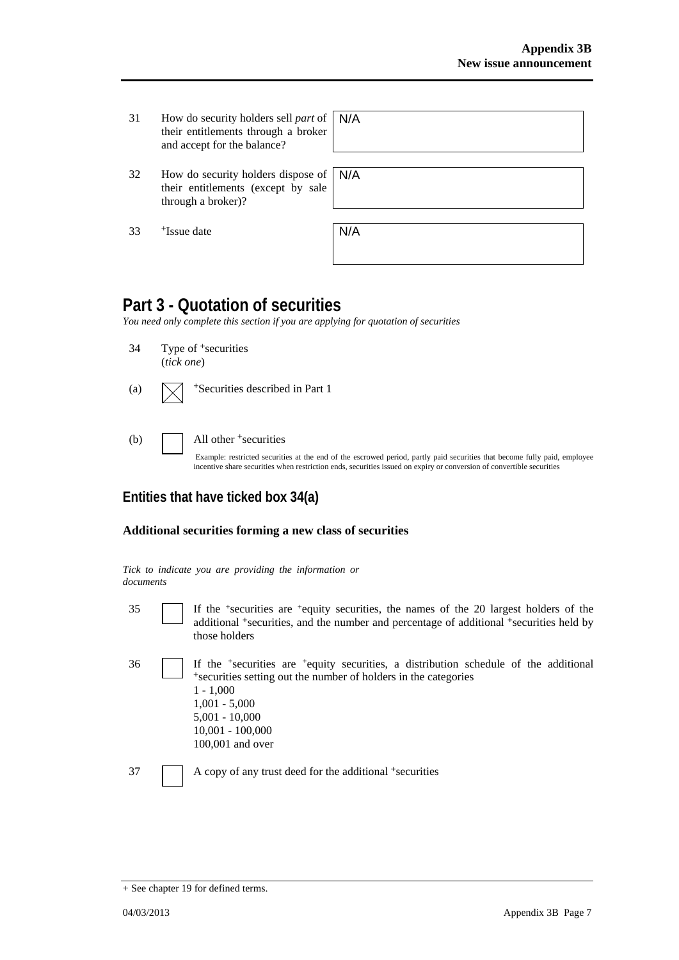- 31 How do security holders sell *part* of their entitlements through a broker and accept for the balance?
- 32 How do security holders dispose of their entitlements (except by sale through a broker)?

| N/A |  |  |  |
|-----|--|--|--|
|     |  |  |  |
|     |  |  |  |

N/A

33 +Issue date N/A

# **Part 3 - Quotation of securities**

*You need only complete this section if you are applying for quotation of securities* 

34 Type of +securities

(*tick one*)

| (a) |  | $\sqrt{\phantom{a}}$ + Securities described in Part 1 |
|-----|--|-------------------------------------------------------|
|-----|--|-------------------------------------------------------|

(b) All other + securities

Example: restricted securities at the end of the escrowed period, partly paid securities that become fully paid, employee incentive share securities when restriction ends, securities issued on expiry or conversion of convertible securities

## **Entities that have ticked box 34(a)**

#### **Additional securities forming a new class of securities**

|           |  |  |  | Tick to indicate you are providing the information or |  |
|-----------|--|--|--|-------------------------------------------------------|--|
| documents |  |  |  |                                                       |  |

| I<br>I<br>٠<br>٠<br>×<br>× |  |
|----------------------------|--|
|                            |  |

If the  $+$ securities are  $+$ equity securities, the names of the 20 largest holders of the additional <sup>+</sup>securities, and the number and percentage of additional <sup>+</sup>securities held by those holders

36 If the +securities are +equity securities, a distribution schedule of the additional <sup>+</sup>securities setting out the number of holders in the categories 1 - 1,000 1,001 - 5,000 5,001 - 10,000 10,001 - 100,000 100,001 and over

37 A copy of any trust deed for the additional +securities

<sup>+</sup> See chapter 19 for defined terms.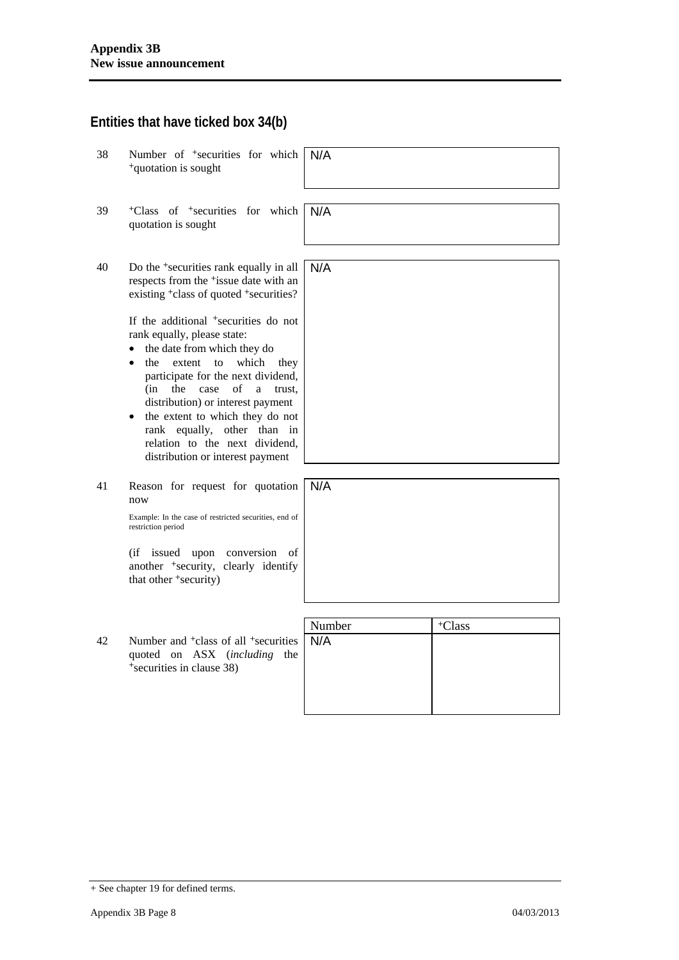### **Entities that have ticked box 34(b)**

- 38 Number of +securities for which <sup>+</sup>quotation is sought N/A
- 39 +Class of +securities for which quotation is sought N/A
- 40 Do the +securities rank equally in all respects from the +issue date with an existing <sup>+</sup>class of quoted <sup>+</sup>securities? N/A

If the additional +securities do not rank equally, please state:

- the date from which they do
- the extent to which they participate for the next dividend, (in the case of a trust, distribution) or interest payment
- the extent to which they do not rank equally, other than in relation to the next dividend, distribution or interest payment
- 41 Reason for request for quotation now N/A

Example: In the case of restricted securities, end of restriction period

(if issued upon conversion of another +security, clearly identify that other <sup>+</sup>security)



| Number<br>Number and <sup>+</sup> class of all <sup>+</sup> securities   N/A | <sup>+</sup> Class |
|------------------------------------------------------------------------------|--------------------|
|                                                                              |                    |

<sup>+</sup> See chapter 19 for defined terms.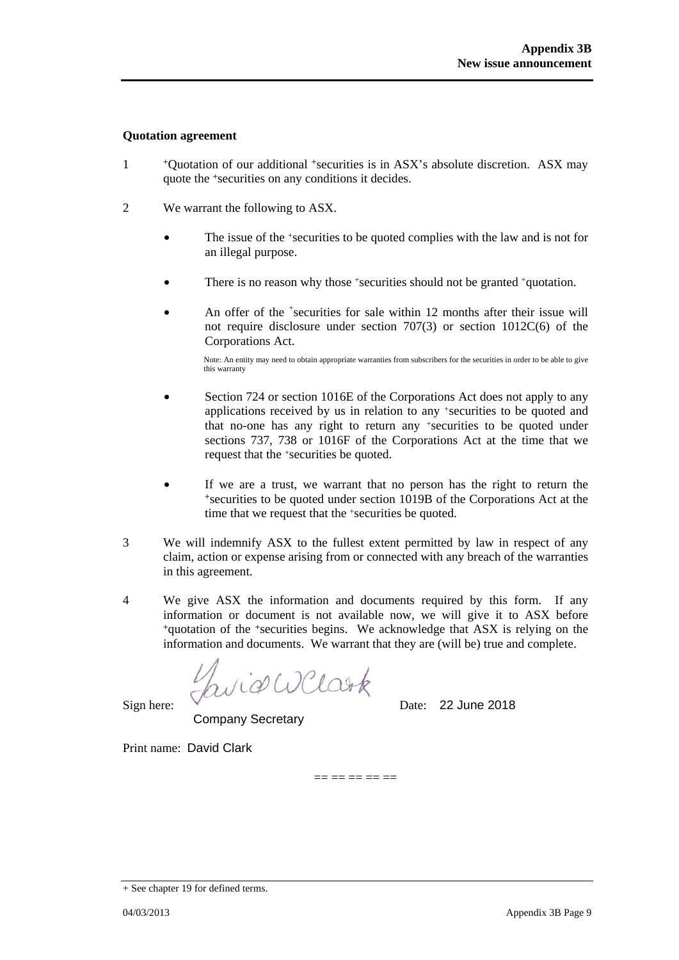#### **Quotation agreement**

- 1 +Quotation of our additional +securities is in ASX's absolute discretion. ASX may quote the +securities on any conditions it decides.
- 2 We warrant the following to ASX.
	- The issue of the +securities to be quoted complies with the law and is not for an illegal purpose.
	- There is no reason why those +securities should not be granted +quotation.
	- An offer of the <sup>+</sup>securities for sale within 12 months after their issue will not require disclosure under section 707(3) or section 1012C(6) of the Corporations Act.

Note: An entity may need to obtain appropriate warranties from subscribers for the securities in order to be able to give this warranty

- Section 724 or section 1016E of the Corporations Act does not apply to any applications received by us in relation to any +securities to be quoted and that no-one has any right to return any +securities to be quoted under sections 737, 738 or 1016F of the Corporations Act at the time that we request that the +securities be quoted.
- If we are a trust, we warrant that no person has the right to return the <sup>+</sup>securities to be quoted under section 1019B of the Corporations Act at the time that we request that the +securities be quoted.
- 3 We will indemnify ASX to the fullest extent permitted by law in respect of any claim, action or expense arising from or connected with any breach of the warranties in this agreement.
- 4 We give ASX the information and documents required by this form. If any information or document is not available now, we will give it to ASX before <sup>+</sup>quotation of the +securities begins. We acknowledge that ASX is relying on the information and documents. We warrant that they are (will be) true and complete.

== == == == ==

wid WClark

Sign here:  $\sqrt{ }$  Date: 22 June 2018

Company Secretary

Print name: David Clark

<sup>+</sup> See chapter 19 for defined terms.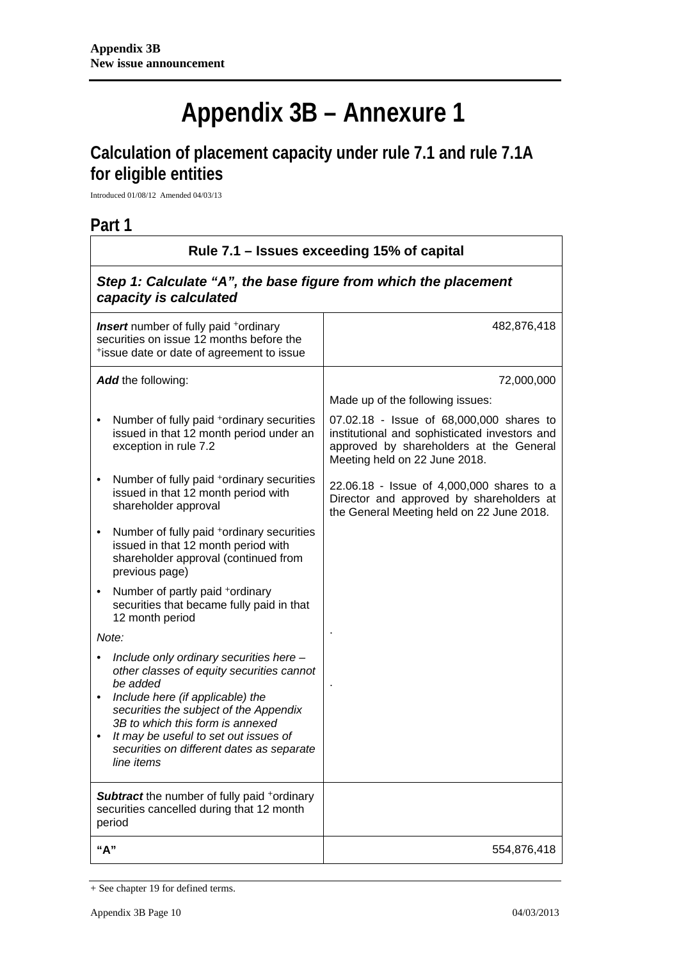# **Appendix 3B – Annexure 1**

# **Calculation of placement capacity under rule 7.1 and rule 7.1A for eligible entities**

Introduced 01/08/12 Amended 04/03/13

## **Part 1**

| Rule 7.1 – Issues exceeding 15% of capital                                                                                                                                                                                                                                                                             |                                                                                                                                                                       |  |
|------------------------------------------------------------------------------------------------------------------------------------------------------------------------------------------------------------------------------------------------------------------------------------------------------------------------|-----------------------------------------------------------------------------------------------------------------------------------------------------------------------|--|
| Step 1: Calculate "A", the base figure from which the placement<br>capacity is calculated                                                                                                                                                                                                                              |                                                                                                                                                                       |  |
| <b>Insert</b> number of fully paid <sup>+</sup> ordinary<br>securities on issue 12 months before the<br>*issue date or date of agreement to issue                                                                                                                                                                      | 482,876,418                                                                                                                                                           |  |
| Add the following:                                                                                                                                                                                                                                                                                                     | 72,000,000                                                                                                                                                            |  |
|                                                                                                                                                                                                                                                                                                                        | Made up of the following issues:                                                                                                                                      |  |
| Number of fully paid +ordinary securities<br>issued in that 12 month period under an<br>exception in rule 7.2                                                                                                                                                                                                          | 07.02.18 - Issue of 68,000,000 shares to<br>institutional and sophisticated investors and<br>approved by shareholders at the General<br>Meeting held on 22 June 2018. |  |
| Number of fully paid <sup>+</sup> ordinary securities<br>issued in that 12 month period with<br>shareholder approval                                                                                                                                                                                                   | 22.06.18 - Issue of 4,000,000 shares to a<br>Director and approved by shareholders at<br>the General Meeting held on 22 June 2018.                                    |  |
| Number of fully paid <sup>+</sup> ordinary securities<br>٠<br>issued in that 12 month period with<br>shareholder approval (continued from<br>previous page)                                                                                                                                                            |                                                                                                                                                                       |  |
| Number of partly paid +ordinary<br>$\bullet$<br>securities that became fully paid in that<br>12 month period                                                                                                                                                                                                           |                                                                                                                                                                       |  |
| Note:                                                                                                                                                                                                                                                                                                                  |                                                                                                                                                                       |  |
| Include only ordinary securities here -<br>other classes of equity securities cannot<br>be added<br>Include here (if applicable) the<br>securities the subject of the Appendix<br>3B to which this form is annexed<br>It may be useful to set out issues of<br>securities on different dates as separate<br>line items |                                                                                                                                                                       |  |
| Subtract the number of fully paid +ordinary<br>securities cancelled during that 12 month<br>period                                                                                                                                                                                                                     |                                                                                                                                                                       |  |
| "A"                                                                                                                                                                                                                                                                                                                    | 554,876,418                                                                                                                                                           |  |

<sup>+</sup> See chapter 19 for defined terms.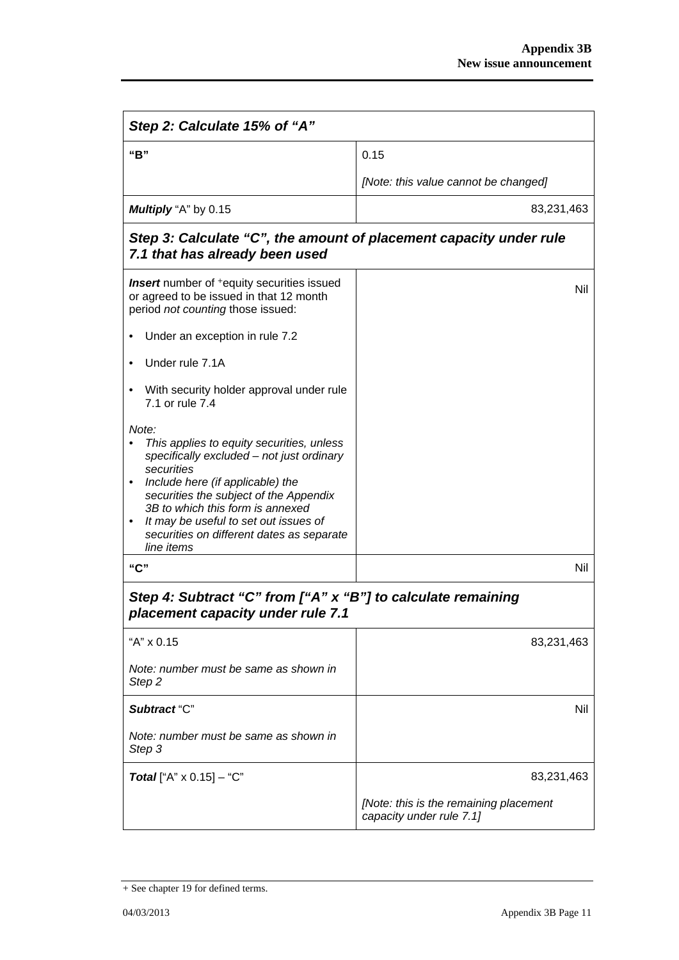| Step 2: Calculate 15% of "A"                                                                                                                                                                                                                                                                                                        |                                                                    |  |
|-------------------------------------------------------------------------------------------------------------------------------------------------------------------------------------------------------------------------------------------------------------------------------------------------------------------------------------|--------------------------------------------------------------------|--|
| "B"                                                                                                                                                                                                                                                                                                                                 | 0.15                                                               |  |
|                                                                                                                                                                                                                                                                                                                                     | [Note: this value cannot be changed]                               |  |
| <b>Multiply</b> "A" by 0.15                                                                                                                                                                                                                                                                                                         | 83,231,463                                                         |  |
| Step 3: Calculate "C", the amount of placement capacity under rule<br>7.1 that has already been used                                                                                                                                                                                                                                |                                                                    |  |
| <b>Insert</b> number of <sup>+</sup> equity securities issued<br>or agreed to be issued in that 12 month<br>period not counting those issued:                                                                                                                                                                                       | Nil                                                                |  |
| Under an exception in rule 7.2                                                                                                                                                                                                                                                                                                      |                                                                    |  |
| Under rule 7.1A                                                                                                                                                                                                                                                                                                                     |                                                                    |  |
| With security holder approval under rule<br>7.1 or rule 7.4                                                                                                                                                                                                                                                                         |                                                                    |  |
| Note:<br>This applies to equity securities, unless<br>specifically excluded - not just ordinary<br>securities<br>Include here (if applicable) the<br>securities the subject of the Appendix<br>3B to which this form is annexed<br>It may be useful to set out issues of<br>securities on different dates as separate<br>line items |                                                                    |  |
| "C"                                                                                                                                                                                                                                                                                                                                 | Nil                                                                |  |
| Step 4: Subtract "C" from ["A" x "B"] to calculate remaining<br>placement capacity under rule 7.1                                                                                                                                                                                                                                   |                                                                    |  |
| "A" x 0.15                                                                                                                                                                                                                                                                                                                          | 83,231,463                                                         |  |
| Note: number must be same as shown in<br>Step <sub>2</sub>                                                                                                                                                                                                                                                                          |                                                                    |  |
| Subtract "C"                                                                                                                                                                                                                                                                                                                        | Nil                                                                |  |
| Note: number must be same as shown in<br>Step 3                                                                                                                                                                                                                                                                                     |                                                                    |  |
| <b>Total</b> ["A" $\times$ 0.15] – "C"                                                                                                                                                                                                                                                                                              | 83,231,463                                                         |  |
|                                                                                                                                                                                                                                                                                                                                     | [Note: this is the remaining placement<br>capacity under rule 7.1] |  |

<sup>+</sup> See chapter 19 for defined terms.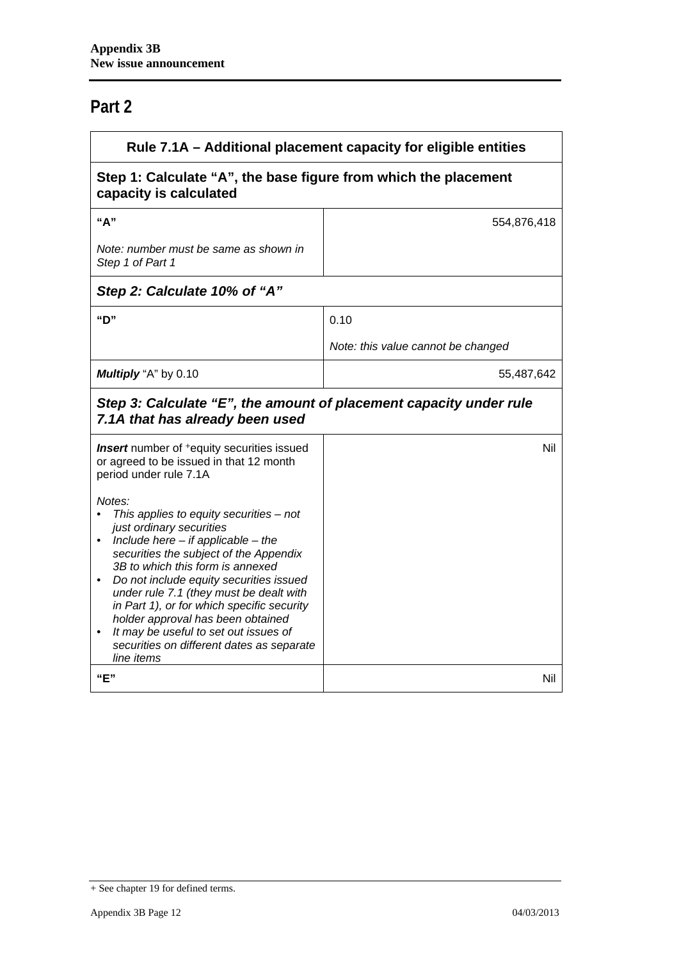# **Part 2**

| Rule 7.1A – Additional placement capacity for eligible entities                                                                                                                                                                                                                                                                                                                                                                                                                      |                                    |  |
|--------------------------------------------------------------------------------------------------------------------------------------------------------------------------------------------------------------------------------------------------------------------------------------------------------------------------------------------------------------------------------------------------------------------------------------------------------------------------------------|------------------------------------|--|
| Step 1: Calculate "A", the base figure from which the placement<br>capacity is calculated                                                                                                                                                                                                                                                                                                                                                                                            |                                    |  |
| "А"                                                                                                                                                                                                                                                                                                                                                                                                                                                                                  | 554,876,418                        |  |
| Note: number must be same as shown in<br>Step 1 of Part 1                                                                                                                                                                                                                                                                                                                                                                                                                            |                                    |  |
| Step 2: Calculate 10% of "A"                                                                                                                                                                                                                                                                                                                                                                                                                                                         |                                    |  |
| "D"                                                                                                                                                                                                                                                                                                                                                                                                                                                                                  | 0.10                               |  |
|                                                                                                                                                                                                                                                                                                                                                                                                                                                                                      | Note: this value cannot be changed |  |
| Multiply "A" by 0.10                                                                                                                                                                                                                                                                                                                                                                                                                                                                 | 55,487,642                         |  |
| Step 3: Calculate "E", the amount of placement capacity under rule<br>7.1A that has already been used                                                                                                                                                                                                                                                                                                                                                                                |                                    |  |
| <b>Insert</b> number of <sup>+</sup> equity securities issued<br>or agreed to be issued in that 12 month<br>period under rule 7.1A                                                                                                                                                                                                                                                                                                                                                   | Nil                                |  |
| Notes:<br>This applies to equity securities $-$ not<br>just ordinary securities<br>Include here $-$ if applicable $-$ the<br>securities the subject of the Appendix<br>3B to which this form is annexed<br>Do not include equity securities issued<br>under rule 7.1 (they must be dealt with<br>in Part 1), or for which specific security<br>holder approval has been obtained<br>It may be useful to set out issues of<br>securities on different dates as separate<br>line items |                                    |  |
| "E"                                                                                                                                                                                                                                                                                                                                                                                                                                                                                  | Nil                                |  |

<sup>+</sup> See chapter 19 for defined terms.